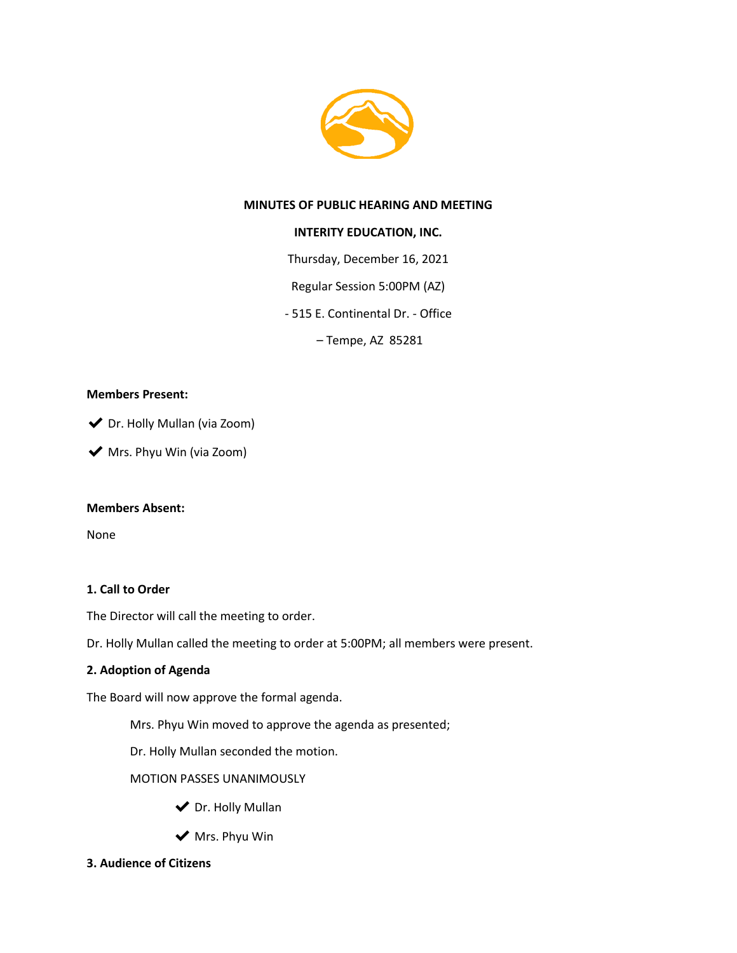

## **MINUTES OF PUBLIC HEARING AND MEETING**

## **INTERITY EDUCATION, INC.**

Thursday, December 16, 2021

Regular Session 5:00PM (AZ)

- 515 E. Continental Dr. - Office

– Tempe, AZ 85281

## **Members Present:**

◆ Dr. Holly Mullan (via Zoom)

◆ Mrs. Phyu Win (via Zoom)

## **Members Absent:**

None

## **1. Call to Order**

The Director will call the meeting to order.

Dr. Holly Mullan called the meeting to order at 5:00PM; all members were present.

## **2. Adoption of Agenda**

The Board will now approve the formal agenda.

Mrs. Phyu Win moved to approve the agenda as presented;

Dr. Holly Mullan seconded the motion.

MOTION PASSES UNANIMOUSLY

- ◆ Dr. Holly Mullan
- $\blacktriangleright$  Mrs. Phyu Win
- **3. Audience of Citizens**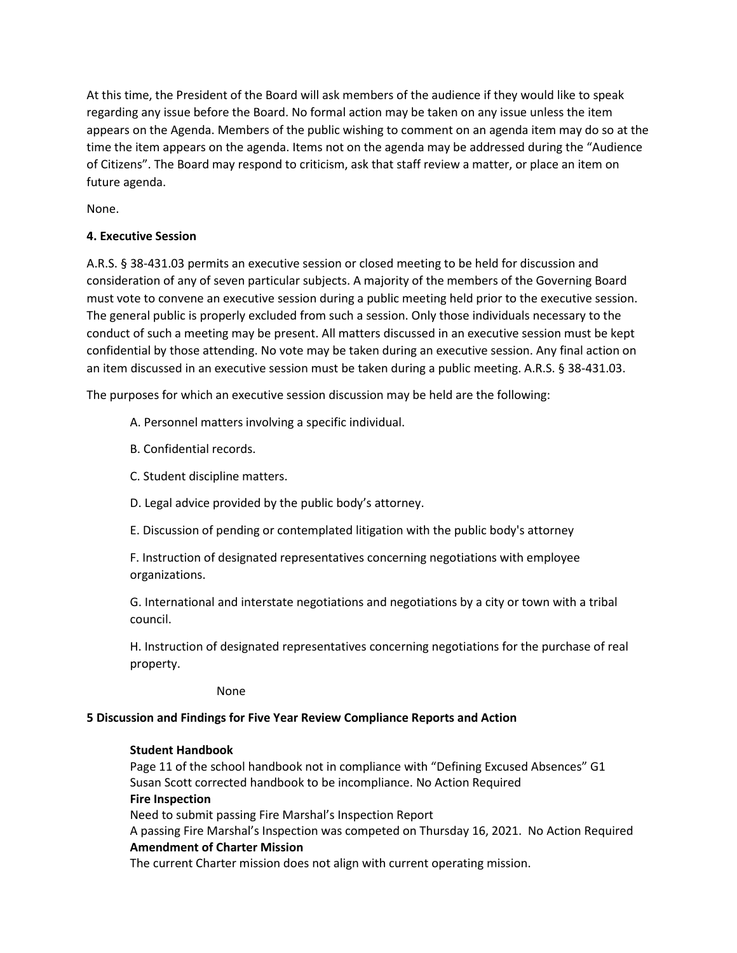At this time, the President of the Board will ask members of the audience if they would like to speak regarding any issue before the Board. No formal action may be taken on any issue unless the item appears on the Agenda. Members of the public wishing to comment on an agenda item may do so at the time the item appears on the agenda. Items not on the agenda may be addressed during the "Audience of Citizens". The Board may respond to criticism, ask that staff review a matter, or place an item on future agenda.

None.

## **4. Executive Session**

A.R.S. § 38-431.03 permits an executive session or closed meeting to be held for discussion and consideration of any of seven particular subjects. A majority of the members of the Governing Board must vote to convene an executive session during a public meeting held prior to the executive session. The general public is properly excluded from such a session. Only those individuals necessary to the conduct of such a meeting may be present. All matters discussed in an executive session must be kept confidential by those attending. No vote may be taken during an executive session. Any final action on an item discussed in an executive session must be taken during a public meeting. A.R.S. § 38-431.03.

The purposes for which an executive session discussion may be held are the following:

- A. Personnel matters involving a specific individual.
- B. Confidential records.
- C. Student discipline matters.
- D. Legal advice provided by the public body's attorney.
- E. Discussion of pending or contemplated litigation with the public body's attorney

F. Instruction of designated representatives concerning negotiations with employee organizations.

G. International and interstate negotiations and negotiations by a city or town with a tribal council.

H. Instruction of designated representatives concerning negotiations for the purchase of real property.

None

## **5 Discussion and Findings for Five Year Review Compliance Reports and Action**

## **Student Handbook**

Page 11 of the school handbook not in compliance with "Defining Excused Absences" G1 Susan Scott corrected handbook to be incompliance. No Action Required **Fire Inspection** Need to submit passing Fire Marshal's Inspection Report A passing Fire Marshal's Inspection was competed on Thursday 16, 2021. No Action Required

#### **Amendment of Charter Mission**

The current Charter mission does not align with current operating mission.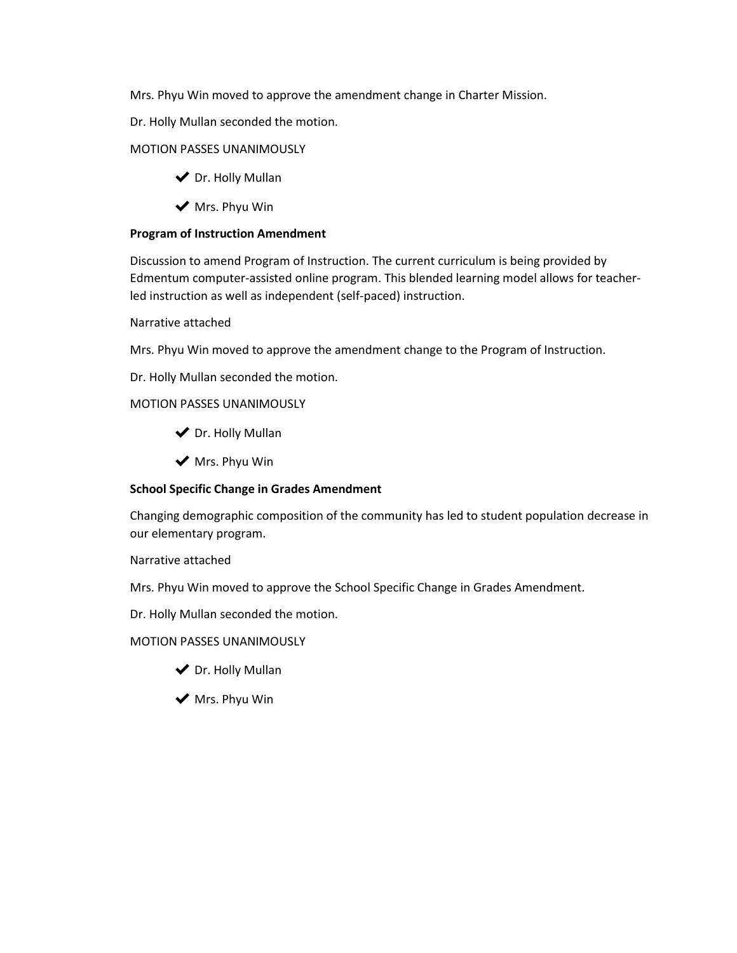Mrs. Phyu Win moved to approve the amendment change in Charter Mission.

Dr. Holly Mullan seconded the motion.

## MOTION PASSES UNANIMOUSLY

- ◆ Dr. Holly Mullan
- ◆ Mrs. Phyu Win

## **Program of Instruction Amendment**

Discussion to amend Program of Instruction. The current curriculum is being provided by Edmentum computer-assisted online program. This blended learning model allows for teacherled instruction as well as independent (self-paced) instruction.

#### Narrative attached

Mrs. Phyu Win moved to approve the amendment change to the Program of Instruction.

Dr. Holly Mullan seconded the motion.

## MOTION PASSES UNANIMOUSLY

- ◆ Dr. Holly Mullan
- ◆ Mrs. Phyu Win

## **School Specific Change in Grades Amendment**

Changing demographic composition of the community has led to student population decrease in our elementary program.

Narrative attached

Mrs. Phyu Win moved to approve the School Specific Change in Grades Amendment.

Dr. Holly Mullan seconded the motion.

## MOTION PASSES UNANIMOUSLY

- ◆ Dr. Holly Mullan
- ◆ Mrs. Phyu Win